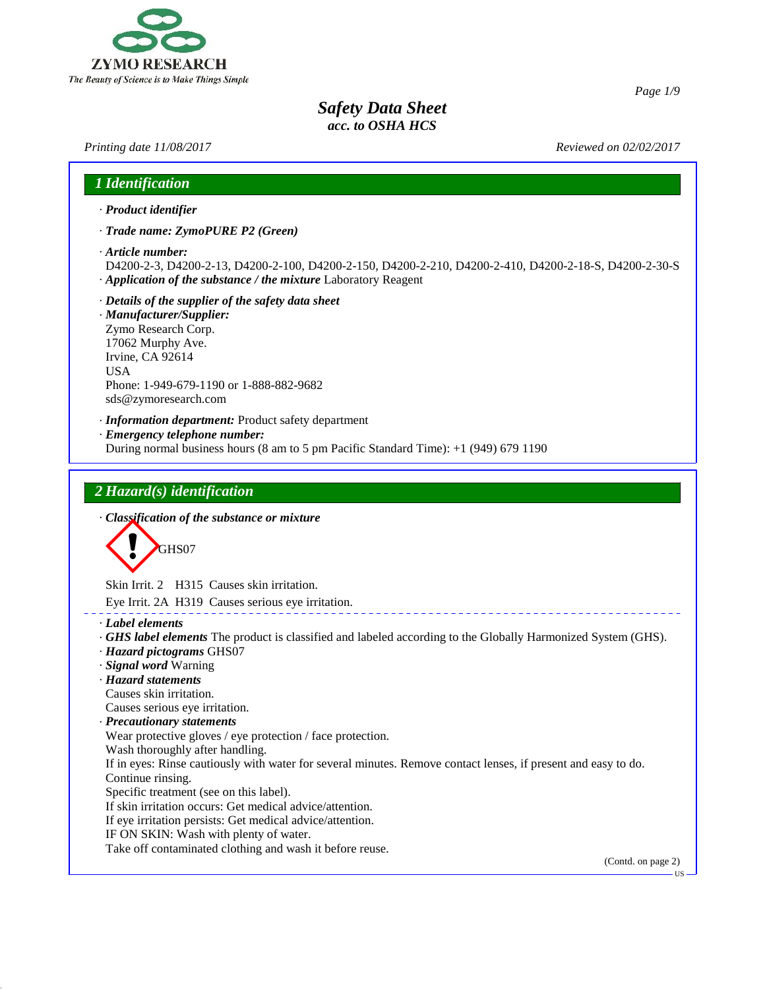

44.0

| Printing date 11/08/2017                                                                                                                                                                                                                | Reviewed on 02/02/2017 |
|-----------------------------------------------------------------------------------------------------------------------------------------------------------------------------------------------------------------------------------------|------------------------|
| 1 Identification                                                                                                                                                                                                                        |                        |
| · Product identifier                                                                                                                                                                                                                    |                        |
| · Trade name: ZymoPURE P2 (Green)                                                                                                                                                                                                       |                        |
| · Article number:<br>D4200-2-3, D4200-2-13, D4200-2-100, D4200-2-150, D4200-2-210, D4200-2-410, D4200-2-18-S, D4200-2-30-S<br>Application of the substance / the mixture Laboratory Reagent                                             |                        |
| · Details of the supplier of the safety data sheet<br>· Manufacturer/Supplier:<br>Zymo Research Corp.<br>17062 Murphy Ave.<br>Irvine, CA 92614<br><b>USA</b><br>Phone: 1-949-679-1190 or 1-888-882-9682<br>sds@zymoresearch.com         |                        |
| · Information department: Product safety department<br>· Emergency telephone number:<br>During normal business hours (8 am to 5 pm Pacific Standard Time): +1 (949) 679 1190                                                            |                        |
| 2 Hazard(s) identification<br>· Classification of the substance or mixture                                                                                                                                                              |                        |
| GHS07                                                                                                                                                                                                                                   |                        |
| Skin Irrit. 2 H315 Causes skin irritation.                                                                                                                                                                                              |                        |
| Eye Irrit. 2A H319 Causes serious eye irritation.                                                                                                                                                                                       |                        |
| · Label elements<br>GHS label elements The product is classified and labeled according to the Globally Harmonized System (GHS).<br>· Hazard pictograms GHS07<br>· Signal word Warning<br>· Hazard statements<br>Causes skin irritation. |                        |
| Causes serious eye irritation.                                                                                                                                                                                                          |                        |
| <b>Precautionary statements</b>                                                                                                                                                                                                         |                        |
| Wear protective gloves / eye protection / face protection.<br>Wash thoroughly after handling.                                                                                                                                           |                        |
| If in eyes: Rinse cautiously with water for several minutes. Remove contact lenses, if present and easy to do.                                                                                                                          |                        |
| Continue rinsing.                                                                                                                                                                                                                       |                        |
| Specific treatment (see on this label).<br>If skin irritation occurs: Get medical advice/attention.                                                                                                                                     |                        |
| If eye irritation persists: Get medical advice/attention.                                                                                                                                                                               |                        |
| IF ON SKIN: Wash with plenty of water.                                                                                                                                                                                                  |                        |
| Take off contaminated clothing and wash it before reuse.                                                                                                                                                                                |                        |
|                                                                                                                                                                                                                                         | (Contd. on page 2)     |

*Page 1/9*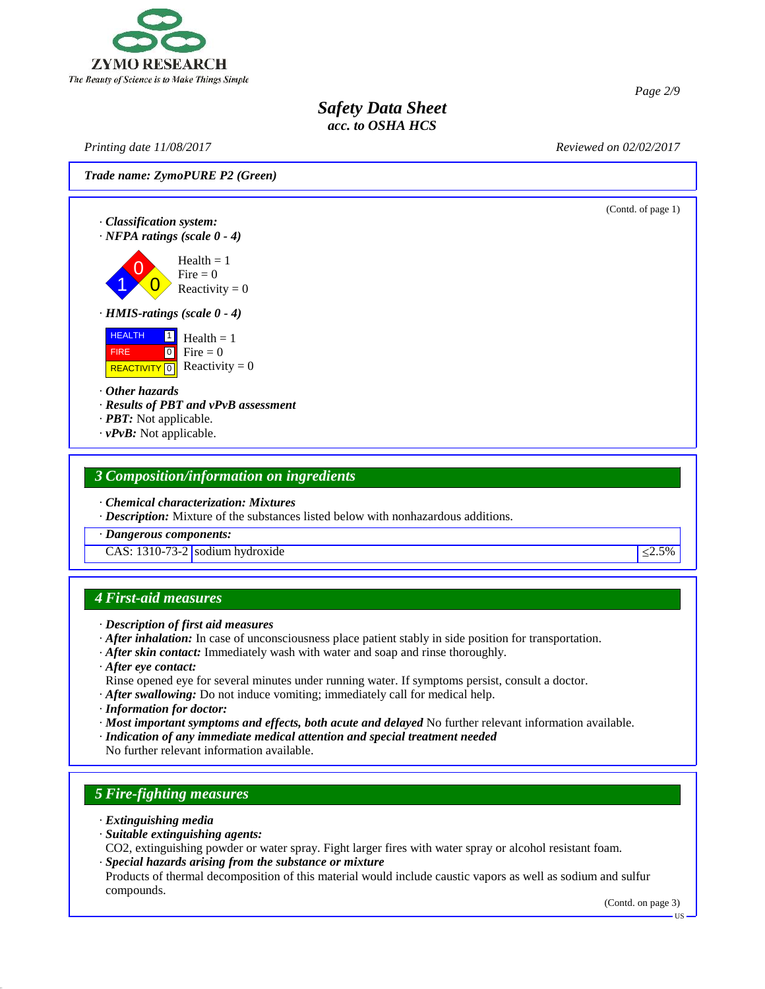

*Printing date 11/08/2017 Reviewed on 02/02/2017*

*Page 2/9*

*Trade name: ZymoPURE P2 (Green)*

(Contd. of page 1) · *Classification system:* · *NFPA ratings (scale 0 - 4)*  $\begin{bmatrix} 1 & 0 \\ 0 & 0 \end{bmatrix}$  Reactivity = 0 Fire  $= 0$  $Health = 1$ · *HMIS-ratings (scale 0 - 4)* **HEALTH**  FIRE REACTIVITY  $\boxed{0}$  Reactivity = 0  $\frac{1}{1}$  Health = 1  $\bullet$  Fire = 0 · *Other hazards* · *Results of PBT and vPvB assessment* · *PBT:* Not applicable. · *vPvB:* Not applicable.

### *3 Composition/information on ingredients*

· *Chemical characterization: Mixtures*

· *Description:* Mixture of the substances listed below with nonhazardous additions.

· *Dangerous components:*

CAS:  $1310-73-2$  sodium hydroxide  $\leq 2.5\%$ 

### *4 First-aid measures*

- · *After inhalation:* In case of unconsciousness place patient stably in side position for transportation.
- · *After skin contact:* Immediately wash with water and soap and rinse thoroughly.
- · *After eye contact:*
- Rinse opened eye for several minutes under running water. If symptoms persist, consult a doctor.
- · *After swallowing:* Do not induce vomiting; immediately call for medical help.
- · *Information for doctor:*
- · *Most important symptoms and effects, both acute and delayed* No further relevant information available.
- · *Indication of any immediate medical attention and special treatment needed*

No further relevant information available.

### *5 Fire-fighting measures*

· *Extinguishing media*

44.0

- · *Suitable extinguishing agents:*
- CO2, extinguishing powder or water spray. Fight larger fires with water spray or alcohol resistant foam. · *Special hazards arising from the substance or mixture*

Products of thermal decomposition of this material would include caustic vapors as well as sodium and sulfur compounds.

(Contd. on page 3)

<sup>·</sup> *Description of first aid measures*

**HS**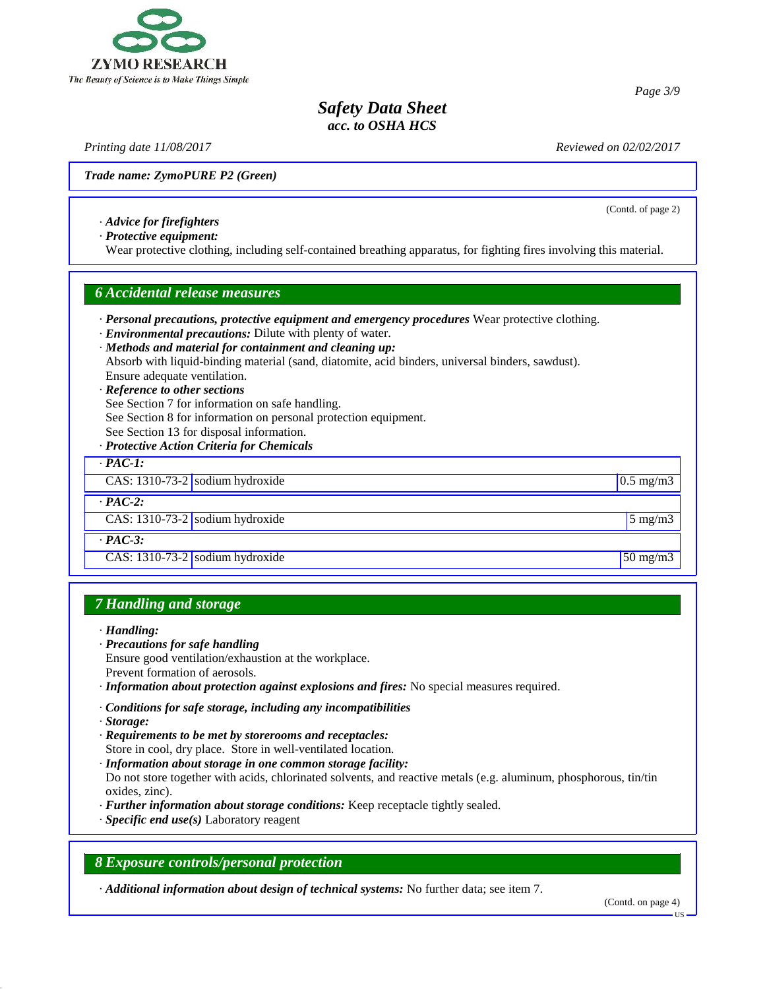

*Printing date 11/08/2017 Reviewed on 02/02/2017*

*Page 3/9*

(Contd. of page 2)

*Trade name: ZymoPURE P2 (Green)*

· *Advice for firefighters*

· *Protective equipment:*

Wear protective clothing, including self-contained breathing apparatus, for fighting fires involving this material.

#### *6 Accidental release measures*

· *Personal precautions, protective equipment and emergency procedures* Wear protective clothing.

· *Environmental precautions:* Dilute with plenty of water.

· *Methods and material for containment and cleaning up:* Absorb with liquid-binding material (sand, diatomite, acid binders, universal binders, sawdust). Ensure adequate ventilation.

- · *Reference to other sections*
- See Section 7 for information on safe handling.
- See Section 8 for information on personal protection equipment.
- See Section 13 for disposal information.
- · *Protective Action Criteria for Chemicals*

| $\cdot$ PAC-1:                                |                             |
|-----------------------------------------------|-----------------------------|
| $\overline{CAS}$ : 1310-73-2 sodium hydroxide | $0.5 \text{ mg/m}$          |
| $\cdot$ PAC-2:                                |                             |
| CAS: $1310-73-2$ sodium hydroxide             | $5 \text{ mg/m}$            |
| $\cdot$ PAC-3:                                |                             |
| CAS: $1310-73-2$ sodium hydroxide             | $\frac{50 \text{ mg}}{m^3}$ |

### *7 Handling and storage*

- · *Handling:*
- · *Precautions for safe handling*
- Ensure good ventilation/exhaustion at the workplace. Prevent formation of aerosols.
- · *Information about protection against explosions and fires:* No special measures required.
- · *Conditions for safe storage, including any incompatibilities*
- · *Storage:*

44.0

- · *Requirements to be met by storerooms and receptacles:* Store in cool, dry place. Store in well-ventilated location.
- · *Information about storage in one common storage facility:*

Do not store together with acids, chlorinated solvents, and reactive metals (e.g. aluminum, phosphorous, tin/tin oxides, zinc).

- · *Further information about storage conditions:* Keep receptacle tightly sealed.
- · *Specific end use(s)* Laboratory reagent

### *8 Exposure controls/personal protection*

· *Additional information about design of technical systems:* No further data; see item 7.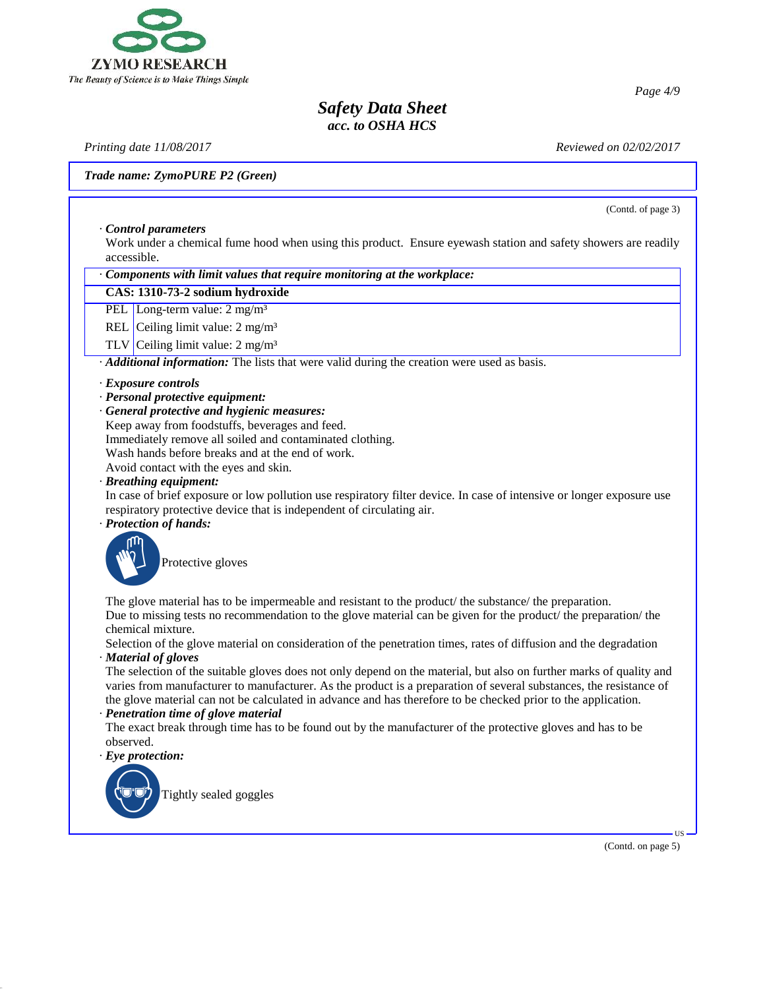

*Printing date 11/08/2017 Reviewed on 02/02/2017*

*Trade name: ZymoPURE P2 (Green)*

(Contd. of page 3)

· *Control parameters* Work under a chemical fume hood when using this product. Ensure eyewash station and safety showers are readily accessible.

· *Components with limit values that require monitoring at the workplace:*

#### **CAS: 1310-73-2 sodium hydroxide**

PEL Long-term value: 2 mg/m<sup>3</sup>

REL Ceiling limit value: 2 mg/m<sup>3</sup>

TLV Ceiling limit value: 2 mg/m³

· *Additional information:* The lists that were valid during the creation were used as basis.

#### · *Exposure controls*

- · *Personal protective equipment:*
- · *General protective and hygienic measures:*

Keep away from foodstuffs, beverages and feed.

Immediately remove all soiled and contaminated clothing.

Wash hands before breaks and at the end of work.

Avoid contact with the eyes and skin.

· *Breathing equipment:*

In case of brief exposure or low pollution use respiratory filter device. In case of intensive or longer exposure use respiratory protective device that is independent of circulating air.

· *Protection of hands:*



The glove material has to be impermeable and resistant to the product/ the substance/ the preparation. Due to missing tests no recommendation to the glove material can be given for the product/ the preparation/ the chemical mixture.

Selection of the glove material on consideration of the penetration times, rates of diffusion and the degradation · *Material of gloves*

The selection of the suitable gloves does not only depend on the material, but also on further marks of quality and varies from manufacturer to manufacturer. As the product is a preparation of several substances, the resistance of the glove material can not be calculated in advance and has therefore to be checked prior to the application.

#### · *Penetration time of glove material*

The exact break through time has to be found out by the manufacturer of the protective gloves and has to be observed.

· *Eye protection:*

44.0



(Contd. on page 5)

 $\overline{US}$   $\longrightarrow$ 

*Page 4/9*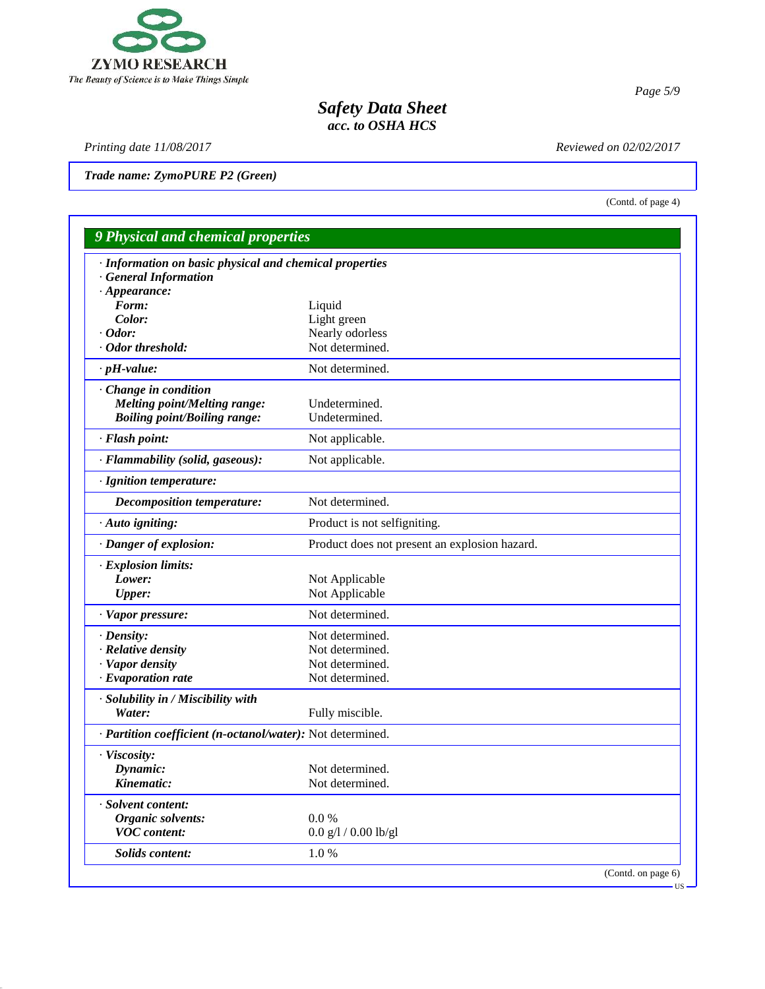

*Printing date 11/08/2017 Reviewed on 02/02/2017*

44.0

*Trade name: ZymoPURE P2 (Green)*

(Contd. of page 4)

|                                                                                                              |                                               | <b>9 Physical and chemical properties</b> |  |  |  |  |
|--------------------------------------------------------------------------------------------------------------|-----------------------------------------------|-------------------------------------------|--|--|--|--|
| · Information on basic physical and chemical properties<br><b>General Information</b><br>$\cdot$ Appearance: |                                               |                                           |  |  |  |  |
| Form:                                                                                                        | Liquid                                        |                                           |  |  |  |  |
| Color:                                                                                                       | Light green                                   |                                           |  |  |  |  |
| $\cdot$ Odor:                                                                                                | Nearly odorless                               |                                           |  |  |  |  |
| · Odor threshold:                                                                                            | Not determined.                               |                                           |  |  |  |  |
| $\cdot$ pH-value:                                                                                            | Not determined.                               |                                           |  |  |  |  |
| Change in condition                                                                                          |                                               |                                           |  |  |  |  |
| <b>Melting point/Melting range:</b>                                                                          | Undetermined.                                 |                                           |  |  |  |  |
| <b>Boiling point/Boiling range:</b>                                                                          | Undetermined.                                 |                                           |  |  |  |  |
| · Flash point:                                                                                               | Not applicable.                               |                                           |  |  |  |  |
| · Flammability (solid, gaseous):                                                                             | Not applicable.                               |                                           |  |  |  |  |
| · Ignition temperature:                                                                                      |                                               |                                           |  |  |  |  |
| Decomposition temperature:                                                                                   | Not determined.                               |                                           |  |  |  |  |
| · Auto igniting:                                                                                             | Product is not selfigniting.                  |                                           |  |  |  |  |
| · Danger of explosion:                                                                                       | Product does not present an explosion hazard. |                                           |  |  |  |  |
| · Explosion limits:                                                                                          |                                               |                                           |  |  |  |  |
| Lower:                                                                                                       | Not Applicable                                |                                           |  |  |  |  |
| <b>Upper:</b>                                                                                                | Not Applicable                                |                                           |  |  |  |  |
| · Vapor pressure:                                                                                            | Not determined.                               |                                           |  |  |  |  |
| · Density:                                                                                                   | Not determined.                               |                                           |  |  |  |  |
| · Relative density                                                                                           | Not determined.                               |                                           |  |  |  |  |
| · Vapor density                                                                                              | Not determined.                               |                                           |  |  |  |  |
| $\cdot$ Evaporation rate                                                                                     | Not determined.                               |                                           |  |  |  |  |
| · Solubility in / Miscibility with<br>Water:                                                                 | Fully miscible.                               |                                           |  |  |  |  |
| · Partition coefficient (n-octanol/water): Not determined.                                                   |                                               |                                           |  |  |  |  |
| · Viscosity:                                                                                                 |                                               |                                           |  |  |  |  |
| Dynamic:                                                                                                     | Not determined.                               |                                           |  |  |  |  |
| Kinematic:                                                                                                   | Not determined.                               |                                           |  |  |  |  |
| · Solvent content:                                                                                           |                                               |                                           |  |  |  |  |
| Organic solvents:                                                                                            | 0.0 %                                         |                                           |  |  |  |  |
| <b>VOC</b> content:                                                                                          | $0.0$ g/l / $0.00$ lb/gl                      |                                           |  |  |  |  |
| Solids content:                                                                                              | 1.0%                                          |                                           |  |  |  |  |
|                                                                                                              |                                               | (Contd. on page 6)<br><b>US</b>           |  |  |  |  |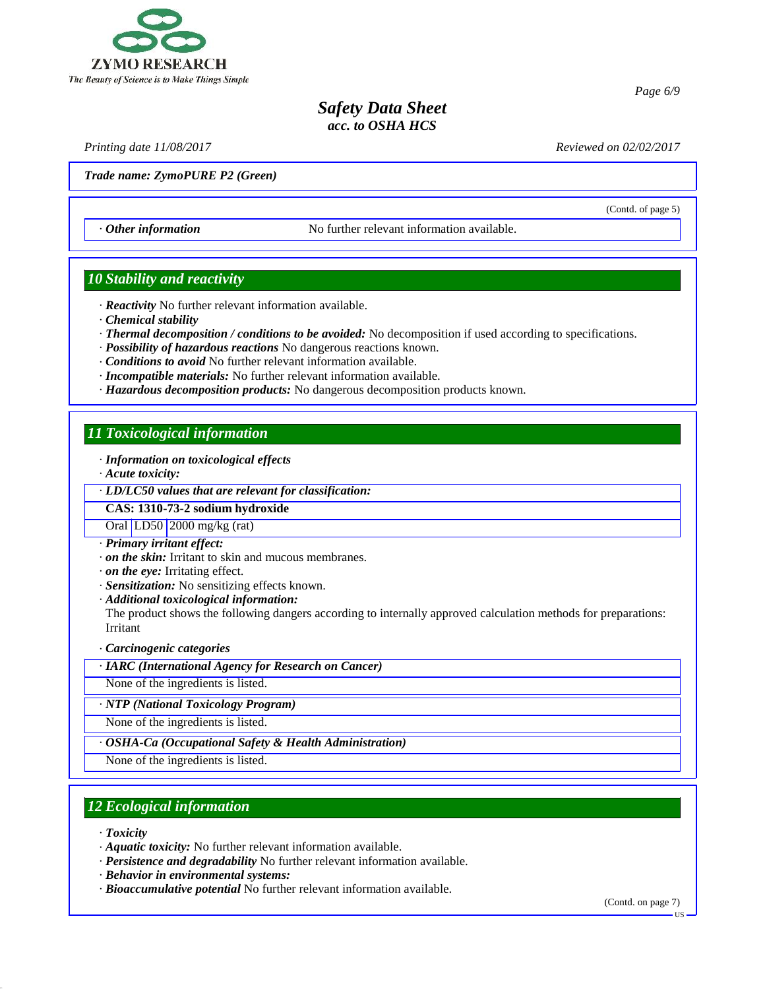

*Printing date 11/08/2017 Reviewed on 02/02/2017*

(Contd. of page 5)

*Page 6/9*

*Trade name: ZymoPURE P2 (Green)*

· *Other information* No further relevant information available.

## *10 Stability and reactivity*

- · *Reactivity* No further relevant information available.
- · *Chemical stability*
- · *Thermal decomposition / conditions to be avoided:* No decomposition if used according to specifications.
- · *Possibility of hazardous reactions* No dangerous reactions known.
- · *Conditions to avoid* No further relevant information available.
- · *Incompatible materials:* No further relevant information available.
- · *Hazardous decomposition products:* No dangerous decomposition products known.

### *11 Toxicological information*

- · *Information on toxicological effects*
- · *Acute toxicity:*

· *LD/LC50 values that are relevant for classification:*

#### **CAS: 1310-73-2 sodium hydroxide**

Oral LD50 2000 mg/kg (rat)

- · *Primary irritant effect:*
- · *on the skin:* Irritant to skin and mucous membranes.
- · *on the eye:* Irritating effect.
- · *Sensitization:* No sensitizing effects known.
- · *Additional toxicological information:*

The product shows the following dangers according to internally approved calculation methods for preparations: Irritant

· *Carcinogenic categories*

· *IARC (International Agency for Research on Cancer)*

None of the ingredients is listed.

· *NTP (National Toxicology Program)*

None of the ingredients is listed.

· *OSHA-Ca (Occupational Safety & Health Administration)*

None of the ingredients is listed.

# *12 Ecological information*

· *Toxicity*

44.0

- · *Aquatic toxicity:* No further relevant information available.
- · *Persistence and degradability* No further relevant information available.
- · *Behavior in environmental systems:*
- · *Bioaccumulative potential* No further relevant information available.

(Contd. on page 7)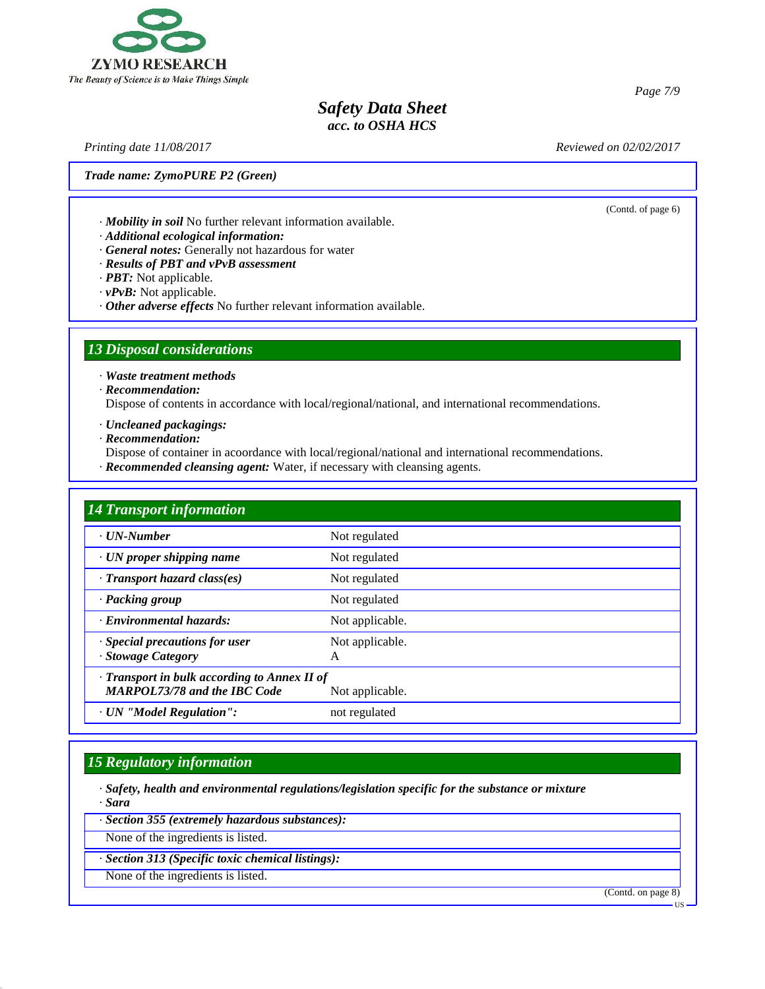

*Printing date 11/08/2017 Reviewed on 02/02/2017*

(Contd. of page 6)

*Trade name: ZymoPURE P2 (Green)*

· *Mobility in soil* No further relevant information available.

· *Additional ecological information:*

· *General notes:* Generally not hazardous for water

- · *Results of PBT and vPvB assessment*
- · *PBT:* Not applicable.

· *vPvB:* Not applicable.

· *Other adverse effects* No further relevant information available.

## *13 Disposal considerations*

· *Waste treatment methods*

· *Recommendation:*

Dispose of contents in accordance with local/regional/national, and international recommendations.

· *Uncleaned packagings:*

· *Recommendation:*

Dispose of container in acoordance with local/regional/national and international recommendations.

· *Recommended cleansing agent:* Water, if necessary with cleansing agents.

| <b>14 Transport information</b>                                                     |                      |
|-------------------------------------------------------------------------------------|----------------------|
| $\cdot$ UN-Number                                                                   | Not regulated        |
| $\cdot$ UN proper shipping name                                                     | Not regulated        |
| $\cdot$ Transport hazard class(es)                                                  | Not regulated        |
| · Packing group                                                                     | Not regulated        |
| · Environmental hazards:                                                            | Not applicable.      |
| · Special precautions for user<br>· Stowage Category                                | Not applicable.<br>A |
| · Transport in bulk according to Annex II of<br><b>MARPOL73/78 and the IBC Code</b> | Not applicable.      |
| · UN "Model Regulation":                                                            | not regulated        |

### *15 Regulatory information*

· *Safety, health and environmental regulations/legislation specific for the substance or mixture* · *Sara*

· *Section 355 (extremely hazardous substances):*

None of the ingredients is listed.

· *Section 313 (Specific toxic chemical listings):*

None of the ingredients is listed.

44.0

(Contd. on page 8)

US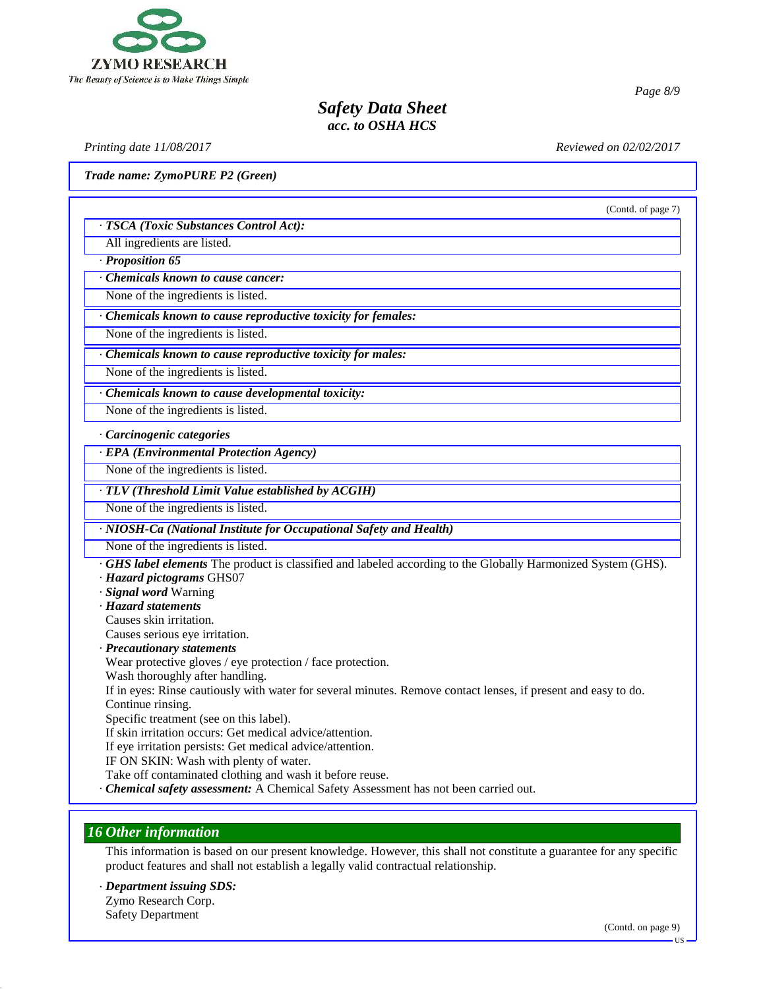

*Printing date 11/08/2017 Reviewed on 02/02/2017*

*Page 8/9*

*Trade name: ZymoPURE P2 (Green)*

|                                                                                                                    | (Contd. of page 7) |
|--------------------------------------------------------------------------------------------------------------------|--------------------|
| · TSCA (Toxic Substances Control Act):                                                                             |                    |
| All ingredients are listed.                                                                                        |                    |
| Proposition 65                                                                                                     |                    |
| <b>Chemicals known to cause cancer:</b>                                                                            |                    |
| None of the ingredients is listed.                                                                                 |                    |
| Chemicals known to cause reproductive toxicity for females:                                                        |                    |
| None of the ingredients is listed.                                                                                 |                    |
| Chemicals known to cause reproductive toxicity for males:                                                          |                    |
| None of the ingredients is listed.                                                                                 |                    |
| Chemicals known to cause developmental toxicity:                                                                   |                    |
| None of the ingredients is listed.                                                                                 |                    |
| Carcinogenic categories                                                                                            |                    |
| <b>EPA</b> (Environmental Protection Agency)                                                                       |                    |
| None of the ingredients is listed.                                                                                 |                    |
| TLV (Threshold Limit Value established by ACGIH)                                                                   |                    |
| None of the ingredients is listed.                                                                                 |                    |
| · NIOSH-Ca (National Institute for Occupational Safety and Health)                                                 |                    |
| None of the ingredients is listed.                                                                                 |                    |
| <b>GHS label elements</b> The product is classified and labeled according to the Globally Harmonized System (GHS). |                    |
| · Hazard pictograms GHS07                                                                                          |                    |
| · Signal word Warning                                                                                              |                    |
| · Hazard statements                                                                                                |                    |
| Causes skin irritation.                                                                                            |                    |
| Causes serious eye irritation.                                                                                     |                    |
| · Precautionary statements                                                                                         |                    |
| $\cdots$                                                                                                           |                    |

Wear protective gloves / eye protection / face protection.

Wash thoroughly after handling.

If in eyes: Rinse cautiously with water for several minutes. Remove contact lenses, if present and easy to do. Continue rinsing.

Specific treatment (see on this label).

If skin irritation occurs: Get medical advice/attention.

If eye irritation persists: Get medical advice/attention.

IF ON SKIN: Wash with plenty of water.

Take off contaminated clothing and wash it before reuse.

· *Chemical safety assessment:* A Chemical Safety Assessment has not been carried out.

### *16 Other information*

This information is based on our present knowledge. However, this shall not constitute a guarantee for any specific product features and shall not establish a legally valid contractual relationship.

· *Department issuing SDS:* Zymo Research Corp.

Safety Department

44.0